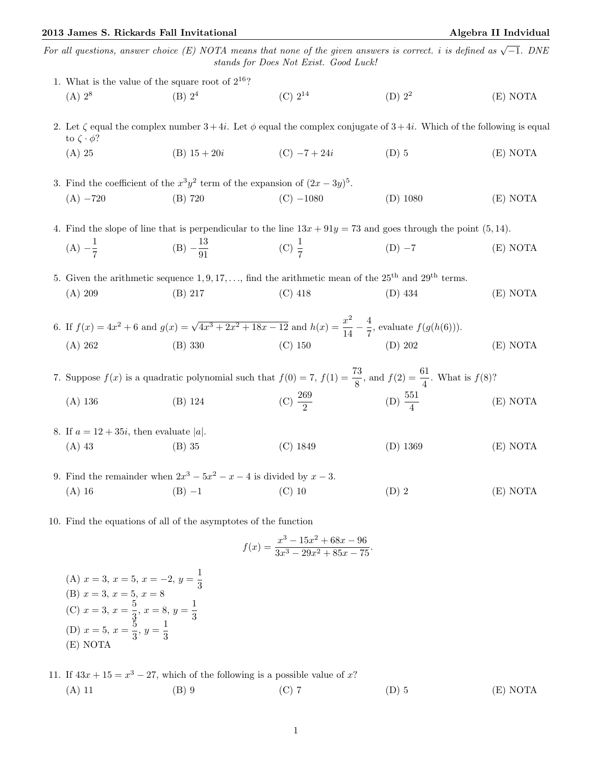## 2013 James S. Rickards Fall Invitational and Algebra II Indvidual Algebra II Indvidual

For all questions, answer choice (E) NOTA means that none of the given answers is correct. i is defined as  $\sqrt{-1}$ . DNE stands for Does Not Exist. Good Luck!

| 1. What is the value of the square root of $2^{16}$ ?                                                                                                          |                                                                 |                                                                                                                                        |                     |          |  |  |
|----------------------------------------------------------------------------------------------------------------------------------------------------------------|-----------------------------------------------------------------|----------------------------------------------------------------------------------------------------------------------------------------|---------------------|----------|--|--|
| $(A) 2^8$                                                                                                                                                      | (B) 2 <sup>4</sup>                                              | $(C) 2^{14}$                                                                                                                           | $(D)$ $22$          | (E) NOTA |  |  |
| 2. Let $\zeta$ equal the complex number $3+4i$ . Let $\phi$ equal the complex conjugate of $3+4i$ . Which of the following is equal<br>to $\zeta \cdot \phi$ ? |                                                                 |                                                                                                                                        |                     |          |  |  |
| $(A)$ 25                                                                                                                                                       | $(B)$ 15 + 20 <i>i</i>                                          | $(C) -7 + 24i$                                                                                                                         | $(D)$ 5             | (E) NOTA |  |  |
| 3. Find the coefficient of the $x^3y^2$ term of the expansion of $(2x - 3y)^5$ .                                                                               |                                                                 |                                                                                                                                        |                     |          |  |  |
| $(A) -720$                                                                                                                                                     | $(B)$ 720                                                       | $(C) -1080$                                                                                                                            | $(D)$ 1080          | (E) NOTA |  |  |
| 4. Find the slope of line that is perpendicular to the line $13x + 91y = 73$ and goes through the point (5, 14).                                               |                                                                 |                                                                                                                                        |                     |          |  |  |
| $(A) -\frac{1}{7}$                                                                                                                                             | (B) $-\frac{13}{91}$                                            | (C) $\frac{1}{7}$                                                                                                                      | $(D) -7$            | (E) NOTA |  |  |
| 5. Given the arithmetic sequence 1, 9, 17, , find the arithmetic mean of the $25th$ and $29th$ terms.                                                          |                                                                 |                                                                                                                                        |                     |          |  |  |
| (A) 209                                                                                                                                                        | $(B)$ 217                                                       | $(C)$ 418                                                                                                                              | $(D)$ 434           | (E) NOTA |  |  |
|                                                                                                                                                                |                                                                 | 6. If $f(x) = 4x^2 + 6$ and $g(x) = \sqrt{4x^3 + 2x^2 + 18x - 12}$ and $h(x) = \frac{x^2}{14} - \frac{4}{7}$ , evaluate $f(g(h(6)))$ . |                     |          |  |  |
| (A) 262                                                                                                                                                        | $(B)$ 330                                                       | $(C)$ 150                                                                                                                              | (D) 202             | (E) NOTA |  |  |
| 7. Suppose $f(x)$ is a quadratic polynomial such that $f(0) = 7$ , $f(1) = \frac{73}{8}$ , and $f(2) = \frac{61}{4}$ . What is $f(8)$ ?                        |                                                                 |                                                                                                                                        |                     |          |  |  |
| $(A)$ 136                                                                                                                                                      | $(B)$ 124                                                       | (C) $\frac{269}{2}$                                                                                                                    | (D) $\frac{551}{4}$ | (E) NOTA |  |  |
| 8. If $a = 12 + 35i$ , then evaluate  a .                                                                                                                      |                                                                 |                                                                                                                                        |                     |          |  |  |
| $(A)$ 43                                                                                                                                                       | $(B)$ 35                                                        | $(C)$ 1849                                                                                                                             | $(D)$ 1369          | (E) NOTA |  |  |
| 9. Find the remainder when $2x^3 - 5x^2 - x - 4$ is divided by $x - 3$ .                                                                                       |                                                                 |                                                                                                                                        |                     |          |  |  |
| $(A)$ 16                                                                                                                                                       | $(B) -1$                                                        | $(C)$ 10                                                                                                                               | $(D)$ 2             | (E) NOTA |  |  |
|                                                                                                                                                                | 10. Find the equations of all of the asymptotes of the function |                                                                                                                                        |                     |          |  |  |
|                                                                                                                                                                |                                                                 | $f(x) = \frac{x^3 - 15x^2 + 68x - 96}{3x^3 - 29x^2 + 85x - 75}.$                                                                       |                     |          |  |  |
| (A) $x = 3$ , $x = 5$ , $x = -2$ , $y = \frac{1}{3}$                                                                                                           |                                                                 |                                                                                                                                        |                     |          |  |  |
| (B) $x = 3$ , $x = 5$ , $x = 8$<br>(C) $x = 3$ , $x = \frac{5}{2}$ , $x = 8$ , $y =$                                                                           |                                                                 |                                                                                                                                        |                     |          |  |  |

(C)  $x = 3, x = \frac{5}{3}$  $\frac{5}{3}$ ,  $x = 8$ ,  $y = \frac{1}{3}$ 3 (D)  $x = 5, x = \frac{5}{3}$  $\frac{5}{3}, y = \frac{1}{3}$ 

(E) NOTA

3

11. If  $43x + 15 = x^3 - 27$ , which of the following is a possible value of x? (A) 11 (B) 9 (C) 7 (D) 5 (E) NOTA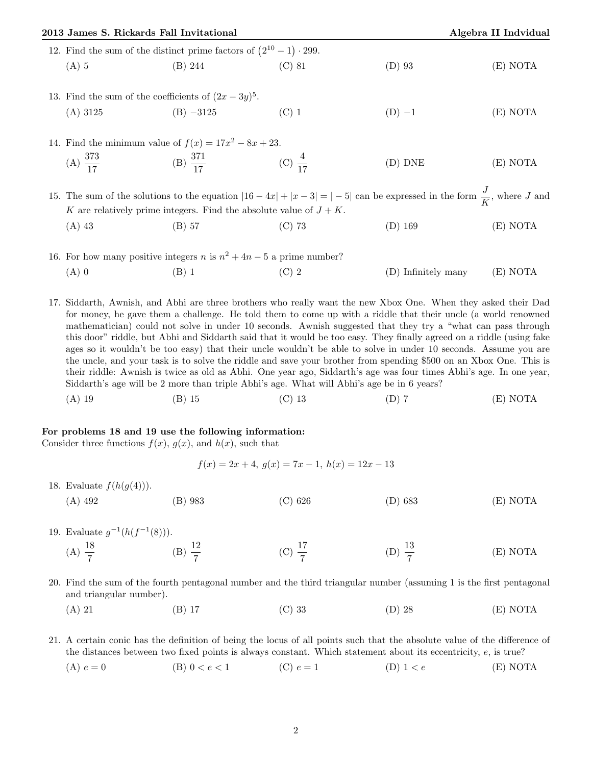| 2013 James S. Rickards Fall Invitational              |                                                                              | Algebra II Indvidual |                                                                                                                                    |          |  |  |  |  |  |
|-------------------------------------------------------|------------------------------------------------------------------------------|----------------------|------------------------------------------------------------------------------------------------------------------------------------|----------|--|--|--|--|--|
|                                                       | 12. Find the sum of the distinct prime factors of $(2^{10} – 1) \cdot 299$ . |                      |                                                                                                                                    |          |  |  |  |  |  |
| $(A)$ 5                                               | (B) 244                                                                      | $(C)$ 81             | $(D)$ 93                                                                                                                           | (E) NOTA |  |  |  |  |  |
| 13. Find the sum of the coefficients of $(2x-3y)^5$ . |                                                                              |                      |                                                                                                                                    |          |  |  |  |  |  |
|                                                       | (A) $3125$ (B) $-3125$                                                       | $(C)$ 1              | $(D) -1$                                                                                                                           | (E) NOTA |  |  |  |  |  |
|                                                       | 14. Find the minimum value of $f(x) = 17x^2 - 8x + 23$ .                     |                      |                                                                                                                                    |          |  |  |  |  |  |
| (A) $\frac{373}{17}$                                  | (B) $\frac{371}{17}$ (C) $\frac{4}{17}$                                      |                      | (D) DNE                                                                                                                            | (E) NOTA |  |  |  |  |  |
|                                                       |                                                                              |                      | 15. The sum of the solutions to the equation $ 16 - 4x  +  x - 3  =  -5 $ can be expressed in the form $\frac{J}{K}$ , where J and |          |  |  |  |  |  |
|                                                       | K are relatively prime integers. Find the absolute value of $J + K$ .        |                      |                                                                                                                                    |          |  |  |  |  |  |

(A) 43 (B) 57 (C) 73 (D) 169 (E) NOTA

16. For how many positive integers *n* is  $n^2 + 4n - 5$  a prime number? (A) 0  $(B)$  1  $(C)$  2  $(D)$  Infinitely many  $(E)$  NOTA

17. Siddarth, Awnish, and Abhi are three brothers who really want the new Xbox One. When they asked their Dad for money, he gave them a challenge. He told them to come up with a riddle that their uncle (a world renowned mathematician) could not solve in under 10 seconds. Awnish suggested that they try a "what can pass through this door" riddle, but Abhi and Siddarth said that it would be too easy. They finally agreed on a riddle (using fake ages so it wouldn't be too easy) that their uncle wouldn't be able to solve in under 10 seconds. Assume you are the uncle, and your task is to solve the riddle and save your brother from spending \$500 on an Xbox One. This is their riddle: Awnish is twice as old as Abhi. One year ago, Siddarth's age was four times Abhi's age. In one year, Siddarth's age will be 2 more than triple Abhi's age. What will Abhi's age be in 6 years?

(A) 19 (B) 15 (C) 13 (D) 7 (E) NOTA

## For problems 18 and 19 use the following information:

Consider three functions  $f(x)$ ,  $g(x)$ , and  $h(x)$ , such that

 $f(x) = 2x + 4$ ,  $g(x) = 7x - 1$ ,  $h(x) = 12x - 13$ 

- 18. Evaluate  $f(h(g(4)))$ .
	- (A) 492 (B) 983 (C) 626 (D) 683 (E) NOTA
- 19. Evaluate  $g^{-1}(h(f^{-1}(8)))$ .
	- (A)  $\frac{18}{7}$  (B)  $\frac{12}{7}$ (C)  $\frac{17}{7}$ (D)  $\frac{13}{7}$ (E) NOTA
- 20. Find the sum of the fourth pentagonal number and the third triangular number (assuming 1 is the first pentagonal and triangular number).
	- (A) 21 (B) 17 (C) 33 (D) 28 (E) NOTA

21. A certain conic has the definition of being the locus of all points such that the absolute value of the difference of the distances between two fixed points is always constant. Which statement about its eccentricity, e, is true?

(A)  $e = 0$  (B)  $0 < e < 1$  (C)  $e = 1$  (D)  $1 < e$  (E) NOTA